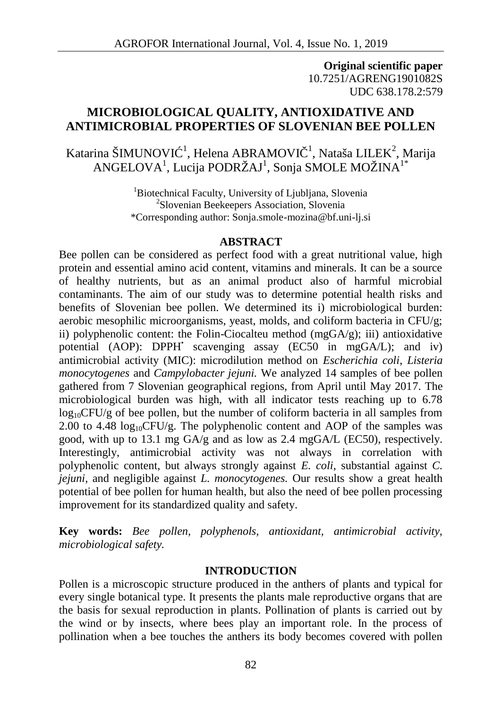**Original scientific paper** 10.7251/AGRENG1901082S UDC 638.178.2:579

# **MICROBIOLOGICAL QUALITY, ANTIOXIDATIVE AND ANTIMICROBIAL PROPERTIES OF SLOVENIAN BEE POLLEN**

Katarina ŠIMUNOVI $^{-1}$ , Helena ABRAMOVI $^{-1}$ , Nataša LILEK<sup>2</sup>, Marija ANGELOVA $^{\rm l}$ , Lucija PODRŽAJ $^{\rm l}$ , Sonja SMOLE MOŽINA $^{\rm l^*}$ 

> <sup>1</sup>Biotechnical Faculty, University of Liubliana, Slovenia <sup>2</sup>Slovenian Beekeepers Association, Slovenia \*Corresponding author: Sonja.smole-mozina@bf.uni-lj.si

#### **ABSTRACT**

Bee pollen can be considered as perfect food with a great nutritional value, high protein and essential amino acid content, vitamins and minerals. It can be a source of healthy nutrients, but as an animal product also of harmful microbial contaminants. The aim of our study was to determine potential health risks and benefits of Slovenian bee pollen. We determined its i) microbiological burden: aerobic mesophilic microorganisms, yeast, molds, and coliform bacteria in CFU/g; ii) polyphenolic content: the Folin-Ciocalteu method  $(mgGA/g)$ ; iii) antioxidative potential (AOP): DPPH<sup>•</sup> scavenging assay (EC50 in mgGA/L); and iv) antimicrobial activity (MIC): microdilution method on *Escherichia coli*, *Listeria monocytogenes* and *Campylobacter jejuni.* We analyzed 14 samples of bee pollen gathered from 7 Slovenian geographical regions, from April until May 2017. The microbiological burden was high, with all indicator tests reaching up to 6.78  $log_{10}$ CFU/g of bee pollen, but the number of coliform bacteria in all samples from 2.00 to 4.48  $log_{10}$ CFU/g. The polyphenolic content and AOP of the samples was good, with up to 13.1 mg GA/g and as low as 2.4 mgGA/L (EC50), respectively. Interestingly, antimicrobial activity was not always in correlation with polyphenolic content, but always strongly against *E. coli*, substantial against *C. jejuni,* and negligible against *L. monocytogenes.* Our results show a great health potential of bee pollen for human health, but also the need of bee pollen processing improvement for its standardized quality and safety.

**Key words:** *Bee pollen, polyphenols, antioxidant, antimicrobial activity, microbiological safety.*

#### **INTRODUCTION**

Pollen is a microscopic structure produced in the anthers of plants and typical for every single botanical type. It presents the plants male reproductive organs that are the basis for sexual reproduction in plants. Pollination of plants is carried out by the wind or by insects, where bees play an important role. In the process of pollination when a bee touches the anthers its body becomes covered with pollen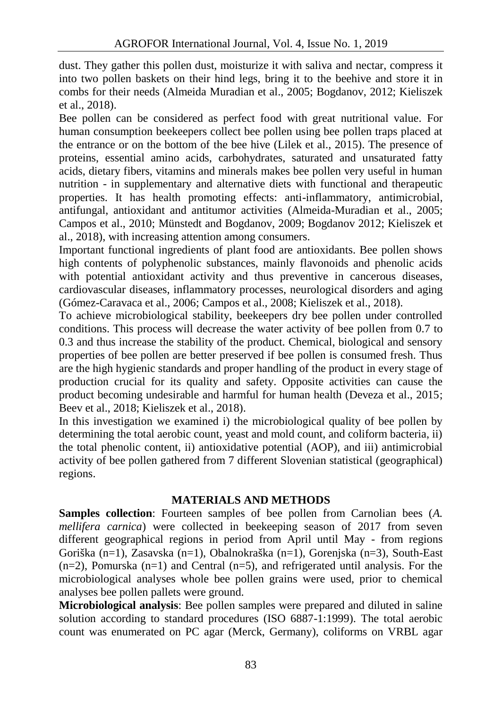dust. They gather this pollen dust, moisturize it with saliva and nectar, compress it into two pollen baskets on their hind legs, bring it to the beehive and store it in combs for their needs (Almeida Muradian et al., 2005; Bogdanov, 2012; Kieliszek et al., 2018).

Bee pollen can be considered as perfect food with great nutritional value. For human consumption beekeepers collect bee pollen using bee pollen traps placed at the entrance or on the bottom of the bee hive (Lilek et al., 2015). The presence of proteins, essential amino acids, carbohydrates, saturated and unsaturated fatty acids, dietary fibers, vitamins and minerals makes bee pollen very useful in human nutrition - in supplementary and alternative diets with functional and therapeutic properties. It has health promoting effects: anti-inflammatory, antimicrobial, antifungal, antioxidant and antitumor activities (Almeida-Muradian et al., 2005; Campos et al., 2010; Münstedt and Bogdanov, 2009; Bogdanov 2012; Kieliszek et al., 2018), with increasing attention among consumers.

Important functional ingredients of plant food are antioxidants. Bee pollen shows high contents of polyphenolic substances, mainly flavonoids and phenolic acids with potential antioxidant activity and thus preventive in cancerous diseases, cardiovascular diseases, inflammatory processes, neurological disorders and aging (Gómez-Caravaca et al., 2006; Campos et al., 2008; Kieliszek et al., 2018).

To achieve microbiological stability, beekeepers dry bee pollen under controlled conditions. This process will decrease the water activity of bee pollen from 0.7 to 0.3 and thus increase the stability of the product. Chemical, biological and sensory properties of bee pollen are better preserved if bee pollen is consumed fresh. Thus are the high hygienic standards and proper handling of the product in every stage of production crucial for its quality and safety. Opposite activities can cause the product becoming undesirable and harmful for human health (Deveza et al., 2015; Beev et al., 2018; Kieliszek et al., 2018).

In this investigation we examined i) the microbiological quality of bee pollen by determining the total aerobic count, yeast and mold count, and coliform bacteria, ii) the total phenolic content, ii) antioxidative potential (AOP), and iii) antimicrobial activity of bee pollen gathered from 7 different Slovenian statistical (geographical) regions.

## **MATERIALS AND METHODS**

**Samples collection**: Fourteen samples of bee pollen from Carnolian bees (*A. mellifera carnica*) were collected in beekeeping season of 2017 from seven different geographical regions in period from April until May - from regions Goriška (n=1), Zasavska (n=1), Obalnokraška (n=1), Gorenjska (n=3), South-East  $(n=2)$ , Pomurska  $(n=1)$  and Central  $(n=5)$ , and refrigerated until analysis. For the microbiological analyses whole bee pollen grains were used, prior to chemical analyses bee pollen pallets were ground.

**Microbiological analysis**: Bee pollen samples were prepared and diluted in saline solution according to standard procedures (ISO 6887-1:1999). The total aerobic count was enumerated on PC agar (Merck, Germany), coliforms on VRBL agar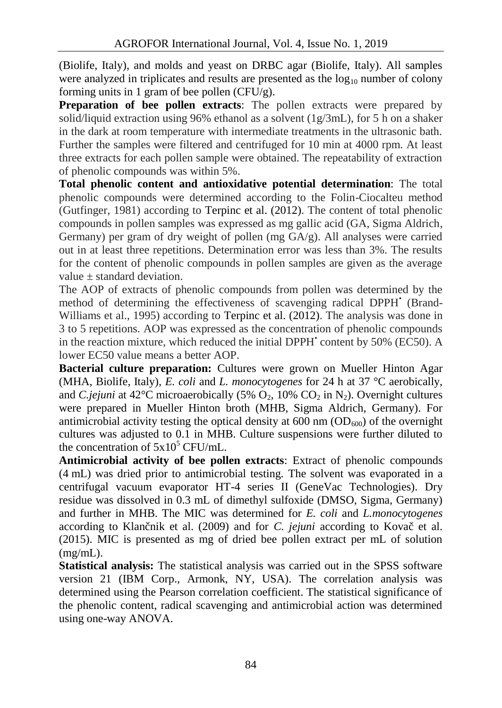(Biolife, Italy), and molds and yeast on DRBC agar (Biolife, Italy). All samples were analyzed in triplicates and results are presented as the  $log_{10}$  number of colony forming units in 1 gram of bee pollen (CFU/g).

**Preparation of bee pollen extracts**: The pollen extracts were prepared by solid/liquid extraction using 96% ethanol as a solvent (1g/3mL), for 5 h on a shaker in the dark at room temperature with intermediate treatments in the ultrasonic bath. Further the samples were filtered and centrifuged for 10 min at 4000 rpm. At least three extracts for each pollen sample were obtained. The repeatability of extraction of phenolic compounds was within 5%.

**Total phenolic content and antioxidative potential determination**: The total phenolic compounds were determined according to the Folin-Ciocalteu method (Gutfinger, 1981) according to Terpinc et al. (2012). The content of total phenolic compounds in pollen samples was expressed as mg gallic acid (GA, Sigma Aldrich, Germany) per gram of dry weight of pollen (mg GA/g). All analyses were carried out in at least three repetitions. Determination error was less than 3%. The results for the content of phenolic compounds in pollen samples are given as the average value  $\pm$  standard deviation.

The AOP of extracts of phenolic compounds from pollen was determined by the method of determining the effectiveness of scavenging radical DPPH• (Brand- Williams et al., 1995) according to Terpinc et al. (2012). The analysis was done in 3 to 5 repetitions. AOP was expressed as the concentration of phenolic compounds in the reaction mixture, which reduced the initial DPPH<sup> $\cdot$ </sup> content by 50% (EC50). A lower EC50 value means a better AOP.

**Bacterial culture preparation:** Cultures were grown on Mueller Hinton Agar (MHA, Biolife, Italy), *E. coli* and *L. monocytogenes* for 24 h at 37 °C aerobically, and *C.jejuni* at 42<sup>o</sup>C microaerobically (5%  $O_2$ , 10%  $CO_2$  in N<sub>2</sub>). Overnight cultures were prepared in Mueller Hinton broth (MHB, Sigma Aldrich, Germany). For antimicrobial activity testing the optical density at  $600 \text{ nm}$  ( $OD_{600}$ ) of the overnight cultures was adjusted to 0.1 in MHB. Culture suspensions were further diluted to the concentration of  $5x10^5$  CFU/mL.

**Antimicrobial activity of bee pollen extracts**: Extract of phenolic compounds (4 mL) was dried prior to antimicrobial testing. The solvent was evaporated in a centrifugal vacuum evaporator HT-4 series II (GeneVac Technologies). Dry residue was dissolved in 0.3 mL of dimethyl sulfoxide (DMSO, Sigma, Germany) and further in MHB. The MIC was determined for *E. coli* and *L.monocytogenes* according to Klan nik et al. (2009) and for *C. jejuni* according to Kova et al. (2015). MIC is presented as mg of dried bee pollen extract per mL of solution (mg/mL).

**Statistical analysis:** The statistical analysis was carried out in the SPSS software version 21 (IBM Corp., Armonk, NY, USA). The correlation analysis was determined using the Pearson correlation coefficient. The statistical significance of the phenolic content, radical scavenging and antimicrobial action was determined using one-way ANOVA.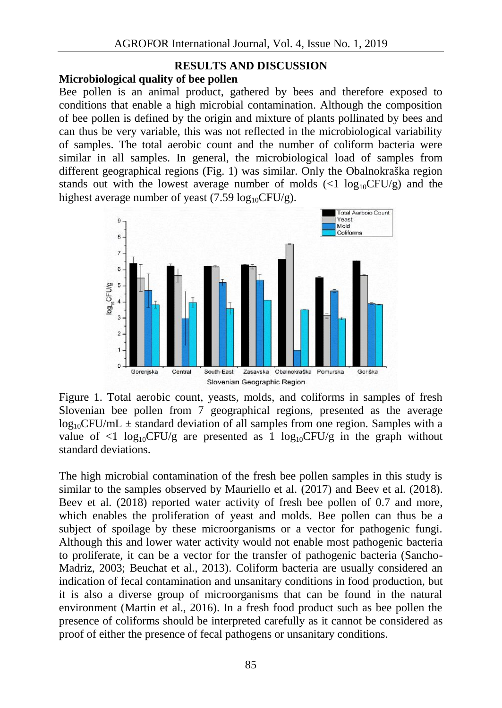### **RESULTS AND DISCUSSION**

### **Microbiological quality of bee pollen**

Bee pollen is an animal product, gathered by bees and therefore exposed to conditions that enable a high microbial contamination. Although the composition of bee pollen is defined by the origin and mixture of plants pollinated by bees and can thus be very variable, this was not reflected in the microbiological variability of samples. The total aerobic count and the number of coliform bacteria were similar in all samples. In general, the microbiological load of samples from different geographical regions (Fig. 1) was similar. Only the Obalnokraška region stands out with the lowest average number of molds  $\ll 1 \log_{10}$ CFU/g) and the highest average number of yeast (7.59  $log_{10}CFU/g$ ).



Figure 1. Total aerobic count, yeasts, molds, and coliforms in samples of fresh Slovenian bee pollen from 7 geographical regions, presented as the average  $log_{10}$ CFU/mL  $\pm$  standard deviation of all samples from one region. Samples with a value of  $\langle 1 \log_{10} CFU/g \rangle$  are presented as 1 log<sub>10</sub>CFU/g in the graph without standard deviations.

The high microbial contamination of the fresh bee pollen samples in this study is similar to the samples observed by Mauriello et al. (2017) and Beev et al. (2018). Beev et al.  $(2018)$  reported water activity of fresh bee pollen of 0.7 and more, which enables the proliferation of yeast and molds. Bee pollen can thus be a subject of spoilage by these microorganisms or a vector for pathogenic fungi. Although this and lower water activity would not enable most pathogenic bacteria to proliferate, it can be a vector for the transfer of pathogenic bacteria (Sancho- Madriz, 2003; Beuchat et al., 2013). Coliform bacteria are usually considered an indication of fecal contamination and unsanitary conditions in food production, but it is also a diverse group of microorganisms that can be found in the natural environment (Martin et al., 2016). In a fresh food product such as bee pollen the presence of coliforms should be interpreted carefully as it cannot be considered as proof of either the presence of fecal pathogens or unsanitary conditions.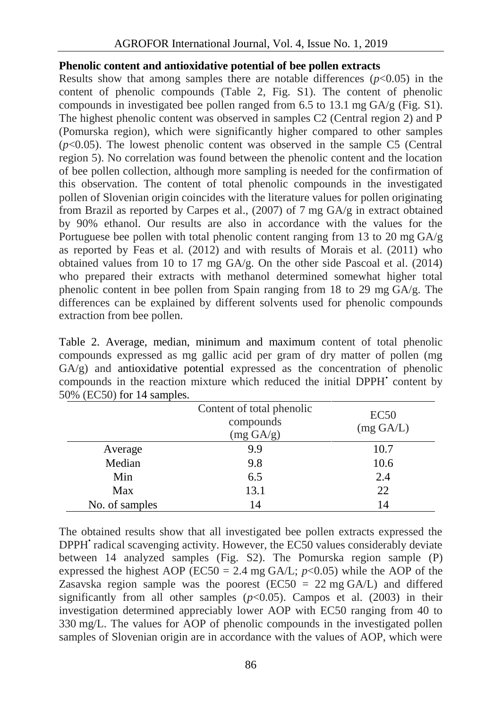### **Phenolic content and antioxidative potential of bee pollen extracts**

Results show that among samples there are notable differences  $(p<0.05)$  in the content of phenolic compounds (Table 2, Fig. S1). The content of phenolic compounds in investigated bee pollen ranged from 6.5 to 13.1 mg  $GA/g$  (Fig. S1). The highest phenolic content was observed in samples C2 (Central region 2) and P (Pomurska region), which were significantly higher compared to other samples  $(p<0.05)$ . The lowest phenolic content was observed in the sample C5 (Central region 5). No correlation was found between the phenolic content and the location of bee pollen collection, although more sampling is needed for the confirmation of this observation. The content of total phenolic compounds in the investigated pollen of Slovenian origin coincides with the literature values for pollen originating from Brazil as reported by Carpes et al., (2007) of 7 mg GA/g in extract obtained by 90% ethanol. Our results are also in accordance with the values for the Portuguese bee pollen with total phenolic content ranging from 13 to 20 mg GA/g as reported by Feas et al. (2012) and with results of Morais et al. (2011) who obtained values from 10 to 17 mg  $GA/g$ . On the other side Pascoal et al. (2014) who prepared their extracts with methanol determined somewhat higher total phenolic content in bee pollen from Spain ranging from 18 to 29 mg GA/g. The differences can be explained by different solvents used for phenolic compounds extraction from bee pollen.

Table 2. Average, median, minimum and maximum content of total phenolic compounds expressed as mg gallic acid per gram of dry matter of pollen (mg GA/g) and antioxidative potential expressed as the concentration of phenolic compounds in the reaction mixture which reduced the initial DPPH<sup>•</sup> content by 50% (EC50) for 14 samples.

|                | Content of total phenolic<br>compounds<br>$(mg \text{ GA/g})$ | EC50<br>$(mg \text{ GA/L})$ |
|----------------|---------------------------------------------------------------|-----------------------------|
| Average        | 9.9                                                           | 10.7                        |
| Median         | 9.8                                                           | 10.6                        |
| Min            | 6.5                                                           | 2.4                         |
| Max            | 13.1                                                          | 22                          |
| No. of samples | 14                                                            | 14                          |

The obtained results show that all investigated bee pollen extracts expressed the DPPH<sup>•</sup> radical scavenging activity. However, the EC50 values considerably deviate between 14 analyzed samples (Fig. S2). The Pomurska region sample (P) expressed the highest AOP ( $EC50 = 2.4$  mg GA/L;  $p < 0.05$ ) while the AOP of the Zasavska region sample was the poorest ( $EC50 = 22$  mg  $GA/L$ ) and differed significantly from all other samples  $(p<0.05)$ . Campos et al. (2003) in their investigation determined appreciably lower AOP with EC50 ranging from 40 to 330 mg/L. The values for AOP of phenolic compounds in the investigated pollen samples of Slovenian origin are in accordance with the values of AOP, which were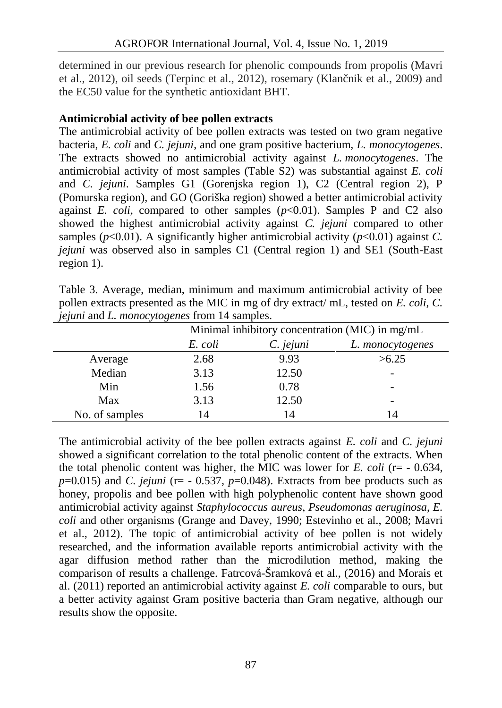determined in our previous research for phenolic compounds from propolis (Mavri et al., 2012), oil seeds (Terpinc et al., 2012), rosemary (Klan nik et al., 2009) and the EC50 value for the synthetic antioxidant BHT.

## **Antimicrobial activity of bee pollen extracts**

The antimicrobial activity of bee pollen extracts was tested on two gram negative bacteria, *E. coli* and *C. jejuni*, and one gram positive bacterium, *L. monocytogenes*. The extracts showed no antimicrobial activity against *L. monocytogenes*. The antimicrobial activity of most samples (Table S2) was substantial against *E. coli* and *C. jejuni*. Samples G1 (Gorenjska region 1), C2 (Central region 2), P (Pomurska region), and GO (Goriška region) showed a better antimicrobial activity against *E. coli,* compared to other samples (*p*<0.01). Samples P and C2 also showed the highest antimicrobial activity against *C. jejuni* compared to other samples ( $p<0.01$ ). A significantly higher antimicrobial activity ( $p<0.01$ ) against *C*. *jejuni* was observed also in samples C1 (Central region 1) and SE1 (South-East region 1).

Table 3. Average, median, minimum and maximum antimicrobial activity of bee pollen extracts presented as the MIC in mg of dry extract/ mL, tested on *E. coli, C. jejuni* and *L. monocytogenes* from 14 samples.

| J J            | $\circ$ | Minimal inhibitory concentration (MIC) in mg/mL |                          |  |
|----------------|---------|-------------------------------------------------|--------------------------|--|
|                | E. coli | C. jejuni                                       | L. monocytogenes         |  |
| Average        | 2.68    | 9.93                                            | >6.25                    |  |
| Median         | 3.13    | 12.50                                           |                          |  |
| Min            | 1.56    | 0.78                                            |                          |  |
| Max            | 3.13    | 12.50                                           | $\overline{\phantom{0}}$ |  |
| No. of samples | 14      | 14                                              | 14                       |  |

The antimicrobial activity of the bee pollen extracts against *E. coli* and *C. jejuni* showed a significant correlation to the total phenolic content of the extracts. When the total phenolic content was higher, the MIC was lower for *E. coli* ( $r = -0.634$ ,  $p=0.015$ ) and *C. jejuni* ( $r=-0.537$ ,  $p=0.048$ ). Extracts from bee products such as honey, propolis and bee pollen with high polyphenolic content have shown good antimicrobial activity against *Staphylococcus aureus*, *Pseudomonas aeruginosa*, *E. coli* and other organisms (Grange and Davey, 1990; Estevinho et al., 2008; Mavri et al., 2012). The topic of antimicrobial activity of bee pollen is not widely researched, and the information available reports antimicrobial activity with the agar diffusion method rather than the microdilution method, making the comparison of results a challenge. Fatrcová-Šramková et al., (2016) and Morais et al. (2011) reported an antimicrobial activity against *E. coli* comparable to ours, but a better activity against Gram positive bacteria than Gram negative, although our results show the opposite.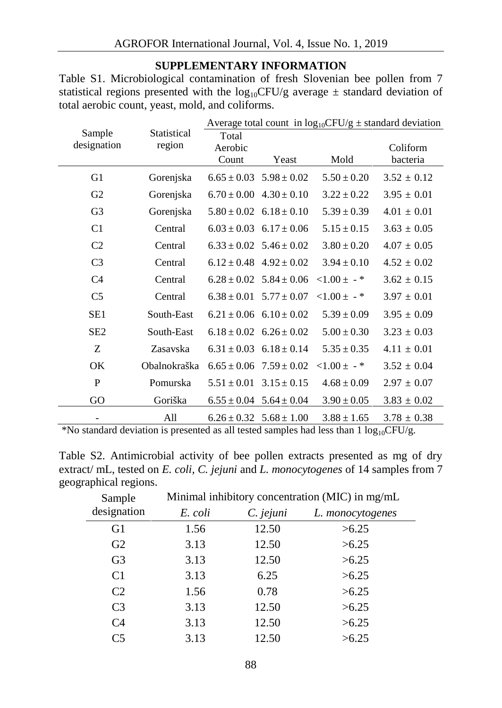## **SUPPLEMENTARY INFORMATION**

Table S1. Microbiological contamination of fresh Slovenian bee pollen from 7 statistical regions presented with the  $log_{10}$ CFU/g average  $\pm$  standard deviation of total aerobic count, yeast, mold, and coliforms.

|                                                |              | Average total count in $log_{10}CFU/g \pm$ standard deviation |                                                    |                 |                      |
|------------------------------------------------|--------------|---------------------------------------------------------------|----------------------------------------------------|-----------------|----------------------|
| Sample<br>Statistical<br>designation<br>region |              | Total<br>Aerobic<br>Count                                     | Yeast                                              | Mold            | Coliform<br>bacteria |
| G <sub>1</sub>                                 | Gorenjska    |                                                               | $6.65 \pm 0.03$ $5.98 \pm 0.02$                    | $5.50 \pm 0.20$ | $3.52 \pm 0.12$      |
| G2                                             | Gorenjska    |                                                               | $6.70 \pm 0.00$ $4.30 \pm 0.10$                    | $3.22 \pm 0.22$ | $3.95 \pm 0.01$      |
| G <sub>3</sub>                                 | Gorenjska    |                                                               | $5.80 \pm 0.02$ $6.18 \pm 0.10$                    | $5.39 \pm 0.39$ | $4.01 \pm 0.01$      |
| C <sub>1</sub>                                 | Central      |                                                               | $6.03 \pm 0.03$ $6.17 \pm 0.06$                    | $5.15 \pm 0.15$ | $3.63 \pm 0.05$      |
| C <sub>2</sub>                                 | Central      |                                                               | $6.33 \pm 0.02$ $5.46 \pm 0.02$                    | $3.80 \pm 0.20$ | $4.07 \pm 0.05$      |
| C <sub>3</sub>                                 | Central      |                                                               | $6.12 \pm 0.48$ $4.92 \pm 0.02$                    | $3.94 \pm 0.10$ | $4.52 \pm 0.02$      |
| C <sub>4</sub>                                 | Central      |                                                               | $6.28 \pm 0.02$ $5.84 \pm 0.06$ $< 1.00 \pm$ $-$ * |                 | $3.62 \pm 0.15$      |
| C <sub>5</sub>                                 | Central      |                                                               | $6.38 \pm 0.01$ $5.77 \pm 0.07$                    | $<1.00 \pm -$ * | $3.97 \pm 0.01$      |
| SE <sub>1</sub>                                | South-East   |                                                               | $6.21 \pm 0.06$ $6.10 \pm 0.02$                    | $5.39 \pm 0.09$ | $3.95 \pm 0.09$      |
| SE <sub>2</sub>                                | South-East   |                                                               | $6.18 \pm 0.02$ $6.26 \pm 0.02$                    | $5.00 \pm 0.30$ | $3.23 \pm 0.03$      |
| Z                                              | Zasavska     |                                                               | $6.31 \pm 0.03$ $6.18 \pm 0.14$                    | $5.35 \pm 0.35$ | $4.11 \pm 0.01$      |
| OK                                             | Obalnokraška |                                                               | $6.65 \pm 0.06$ $7.59 \pm 0.02$                    | $< 1.00 \pm -$  | $3.52 \pm 0.04$      |
| P                                              | Pomurska     |                                                               | $5.51 \pm 0.01$ $3.15 \pm 0.15$                    | $4.68 \pm 0.09$ | $2.97 \pm 0.07$      |
| GO                                             | Goriška      |                                                               | $6.55 \pm 0.04$ $5.64 \pm 0.04$                    | $3.90 \pm 0.05$ | $3.83 \pm 0.02$      |
| -                                              | All          |                                                               | $6.26 \pm 0.32$ $5.68 \pm 1.00$                    | $3.88 \pm 1.65$ | $3.78 \pm 0.38$      |

\*No standard deviation is presented as all tested samples had less than 1 log10CFU/g.

| Table S2. Antimicrobial activity of bee pollen extracts presented as mg of dry      |  |
|-------------------------------------------------------------------------------------|--|
| extract/ mL, tested on E. coli, C. jejuni and L. monocytogenes of 14 samples from 7 |  |
| geographical regions.                                                               |  |

| Sample         | Minimal inhibitory concentration (MIC) in mg/mL |           |                  |  |
|----------------|-------------------------------------------------|-----------|------------------|--|
| designation    | E. coli                                         | C. jejuni | L. monocytogenes |  |
| G1             | 1.56                                            | 12.50     | >6.25            |  |
| G <sub>2</sub> | 3.13                                            | 12.50     | >6.25            |  |
| G <sub>3</sub> | 3.13                                            | 12.50     | >6.25            |  |
| C <sub>1</sub> | 3.13                                            | 6.25      | >6.25            |  |
| C <sub>2</sub> | 1.56                                            | 0.78      | >6.25            |  |
| C <sub>3</sub> | 3.13                                            | 12.50     | >6.25            |  |
| C <sub>4</sub> | 3.13                                            | 12.50     | >6.25            |  |
| C5             | 3.13                                            | 12.50     | >6.25            |  |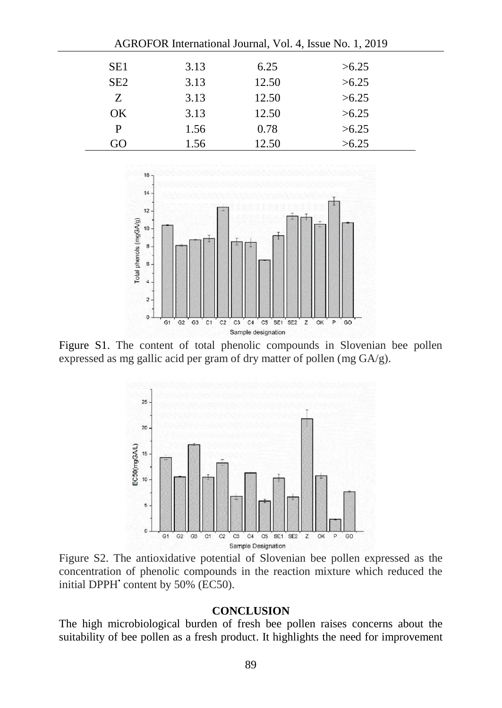| AGROFOR International Journal, Vol. 4, Issue No. 1, 2019 |      |       |       |  |
|----------------------------------------------------------|------|-------|-------|--|
| SE1                                                      | 3.13 | 6.25  | >6.25 |  |
| SE <sub>2</sub>                                          | 3.13 | 12.50 | >6.25 |  |
| Z.                                                       | 3.13 | 12.50 | >6.25 |  |
| OK.                                                      | 3.13 | 12.50 | >6.25 |  |
| P                                                        | 1.56 | 0.78  | >6.25 |  |
| ( )r̃ )                                                  | 1.56 | 12.50 | >6.25 |  |



Figure S1. The content of total phenolic compounds in Slovenian bee pollen expressed as mg gallic acid per gram of dry matter of pollen (mg GA/g).



Figure S2. The antioxidative potential of Slovenian bee pollen expressed as the concentration of phenolic compounds in the reaction mixture which reduced the initial DPPH<sup>•</sup> content by 50% (EC50).

#### **CONCLUSION**

The high microbiological burden of fresh bee pollen raises concerns about the suitability of bee pollen as a fresh product. It highlights the need for improvement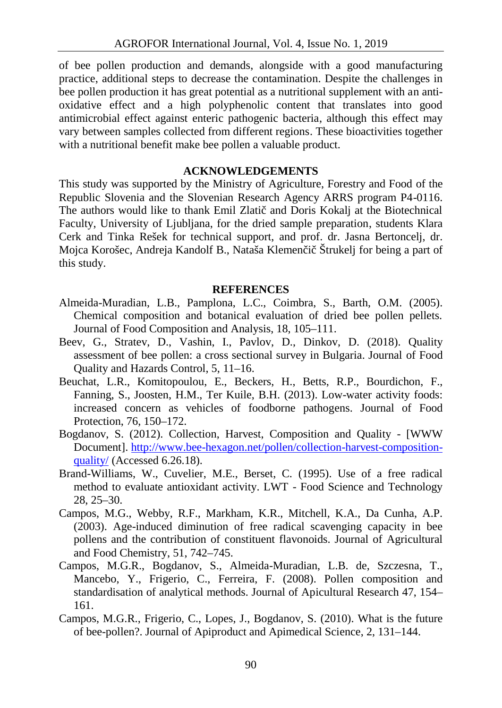of bee pollen production and demands, alongside with a good manufacturing practice, additional steps to decrease the contamination. Despite the challenges in bee pollen production it has great potential as a nutritional supplement with an anti oxidative effect and a high polyphenolic content that translates into good antimicrobial effect against enteric pathogenic bacteria, although this effect may vary between samples collected from different regions. These bioactivities together with a nutritional benefit make bee pollen a valuable product.

### **ACKNOWLEDGEMENTS**

This study was supported by the Ministry of Agriculture, Forestry and Food of the Republic Slovenia and the Slovenian Research Agency ARRS program P4-0116. The authors would like to thank Emil Zlati and Doris Kokalj at the Biotechnical Faculty, University of Ljubljana, for the dried sample preparation, students Klara Cerk and Tinka Rešek for technical support, and prof. dr. Jasna Bertoncelj, dr. Mojca Korošec, Andreja Kandolf B., Nataša Klemen i Štrukelj for being a part of this study.

#### **REFERENCES**

- Almeida-Muradian, L.B., Pamplona, L.C., Coimbra, S., Barth, O.M. (2005). Chemical composition and botanical evaluation of dried bee pollen pellets. Journal of Food Composition and Analysis, 18, 105–111.
- Beev, G., Stratev, D., Vashin, I., Pavlov, D., Dinkov, D. (2018). Quality assessment of bee pollen: a cross sectional survey in Bulgaria. Journal of Food Quality and Hazards Control, 5, 11–16.
- Beuchat, L.R., Komitopoulou, E., Beckers, H., Betts, R.P., Bourdichon, F., Fanning, S., Joosten, H.M., Ter Kuile, B.H. (2013). Low-water activity foods: increased concern as vehicles of foodborne pathogens. Journal of Food Protection, 76, 150–172.
- Bogdanov, S. (2012). Collection, Harvest, Composition and Quality [WWW Document]. http://www.bee-hexagon.net/pollen/collection-harvest-composition quality/ (Accessed 6.26.18).
- Brand-Williams, W., Cuvelier, M.E., Berset, C. (1995). Use of a free radical method to evaluate antioxidant activity. LWT - Food Science and Technology 28, 25–30.
- Campos, M.G., Webby, R.F., Markham, K.R., Mitchell, K.A., Da Cunha, A.P. (2003). Age-induced diminution of free radical scavenging capacity in bee pollens and the contribution of constituent flavonoids. Journal of Agricultural and Food Chemistry, 51, 742–745.
- Campos, M.G.R., Bogdanov, S., Almeida-Muradian, L.B. de, Szczesna, T., Mancebo, Y., Frigerio, C., Ferreira, F. (2008). Pollen composition and standardisation of analytical methods. Journal of Apicultural Research 47, 154– 161.
- Campos, M.G.R., Frigerio, C., Lopes, J., Bogdanov, S. (2010). What is the future of bee-pollen?. Journal of Apiproduct and Apimedical Science, 2, 131–144.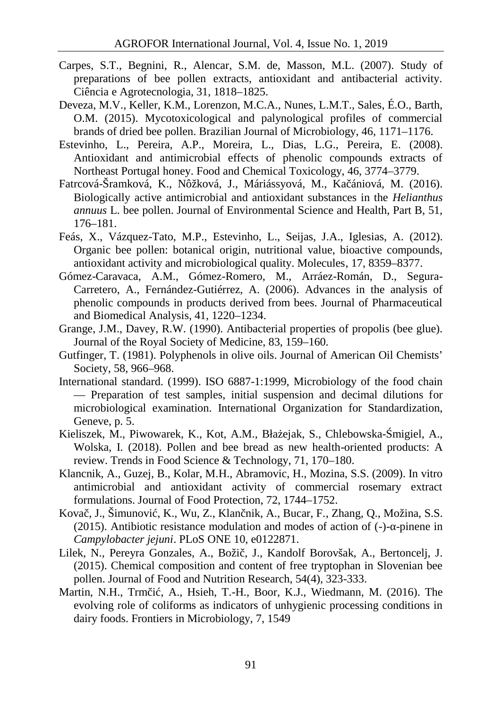- Carpes, S.T., Begnini, R., Alencar, S.M. de, Masson, M.L. (2007). Study of preparations of bee pollen extracts, antioxidant and antibacterial activity. Ciência e Agrotecnologia, 31, 1818–1825.
- Deveza, M.V., Keller, K.M., Lorenzon, M.C.A., Nunes, L.M.T., Sales, É.O., Barth, O.M. (2015). Mycotoxicological and palynological profiles of commercial brands of dried bee pollen. Brazilian Journal of Microbiology, 46, 1171–1176.
- Estevinho, L., Pereira, A.P., Moreira, L., Dias, L.G., Pereira, E. (2008). Antioxidant and antimicrobial effects of phenolic compounds extracts of Northeast Portugal honey. Food and Chemical Toxicology, 46, 3774–3779.
- Fatrcová-Šramková, K., Nôžková, J., Máriássyová, M., Ka ániová, M. (2016). Biologically active antimicrobial and antioxidant substances in the *Helianthus annuus* L. bee pollen. Journal of Environmental Science and Health, Part B, 51, 176–181.
- Feás, X., Vázquez-Tato, M.P., Estevinho, L., Seijas, J.A., Iglesias, A. (2012). Organic bee pollen: botanical origin, nutritional value, bioactive compounds, antioxidant activity and microbiological quality. Molecules, 17, 8359–8377.
- Gómez-Caravaca, A.M., Gómez-Romero, M., Arráez-Román, D., Segura- Carretero, A., Fernández-Gutiérrez, A. (2006). Advances in the analysis of phenolic compounds in products derived from bees. Journal of Pharmaceutical and Biomedical Analysis, 41, 1220–1234.
- Grange, J.M., Davey, R.W. (1990). Antibacterial properties of propolis (bee glue). Journal of the Royal Society of Medicine, 83, 159–160.
- Gutfinger, T. (1981). Polyphenols in olive oils. Journal of American Oil Chemists' Society, 58, 966–968.
- International standard. (1999). ISO 6887-1:1999, Microbiology of the food chain — Preparation of test samples, initial suspension and decimal dilutions for microbiological examination. International Organization for Standardization, Geneve, p. 5.
- Kieliszek, M., Piwowarek, K., Kot, A.M., Bła ejak, S., Chlebowska- migiel, A., Wolska, I. (2018). Pollen and bee bread as new health-oriented products: A review. Trends in Food Science & Technology, 71, 170–180.
- Klancnik, A., Guzej, B., Kolar, M.H., Abramovic, H., Mozina, S.S. (2009). In vitro antimicrobial and antioxidant activity of commercial rosemary extract formulations. Journal of Food Protection, 72, 1744–1752.
- Kova, J., Šimunovi, K., Wu, Z., Klan nik, A., Bucar, F., Zhang, Q., Možina, S.S. (2015). Antibiotic resistance modulation and modes of action of (-)- -pinene in *Campylobacter jejuni*. PLoS ONE 10, e0122871.
- Lilek, N., Pereyra Gonzales, A., Boži, J., Kandolf Borovšak, A., Bertoncelj, J. (2015). Chemical composition and content of free tryptophan in Slovenian bee pollen. Journal of Food and Nutrition Research, 54(4), 323-333.
- Martin, N.H., Trm i, A., Hsieh, T.-H., Boor, K.J., Wiedmann, M. (2016). The evolving role of coliforms as indicators of unhygienic processing conditions in dairy foods. Frontiers in Microbiology, 7, 1549